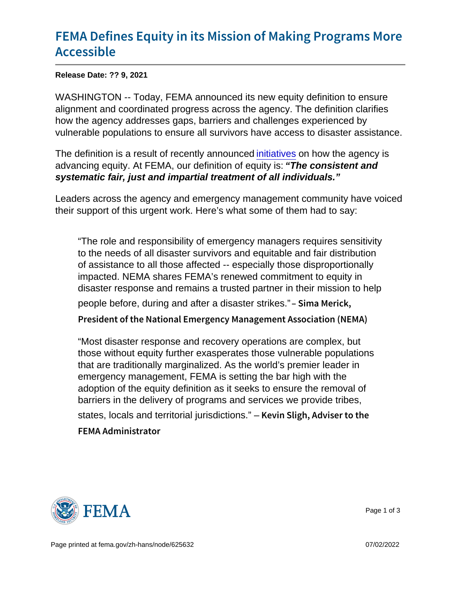## [FEMA Defines Equity in its Mission](https://www.fema.gov/press-release/20210909/fema-defines-equity-its-mission-making-programs-more-accessible) of Mal [Access](https://www.fema.gov/press-release/20210909/fema-defines-equity-its-mission-making-programs-more-accessible)ible

Release Date: ?? 9, 2021

WASHINGTON -- Today, FEMA announced its new equity definition to ensure alignment and coordinated progress across the agency. The definition clarifies how the agency addresses gaps, barriers and challenges experienced by vulnerable populations to ensure all survivors have access to disaster assistance.

The definition is a result of recently announced [initiatives](https://www.fema.gov/press-release/20210721/fema-announces-initial-initiatives-advance-equity) on how the agency is advancing equity. At FEMA, our definition of equity is: "The consistent and systematic fair, just and impartial treatment of all individuals."

Leaders across the agency and emergency management community have voiced their support of this urgent work. Here's what some of them had to say:

"The role and responsibility of emergency managers requires sensitivity to the needs of all disaster survivors and equitable and fair distribution of assistance to all those affected -- especially those disproportionally impacted. NEMA shares FEMA's renewed commitment to equity in disaster response and remains a trusted partner in their mission to help people before, during and after a disaster strikes." Sima Merick, President of the National Emergency Management Assoc

"Most disaster response and recovery operations are complex, but those without equity further exasperates those vulnerable populations that are traditionally marginalized. As the world's premier leader in emergency management, FEMA is setting the bar high with the adoption of the equity definition as it seeks to ensure the removal of barriers in the delivery of programs and services we provide tribes, states, locals and territorial jurisdictions." – Kevin Sligh, Adviser to the FEMA Administrator



Page 1 of 3

Page printed at [fema.gov/zh-hans/node/625632](https://www.fema.gov/zh-hans/node/625632) 07/02/2022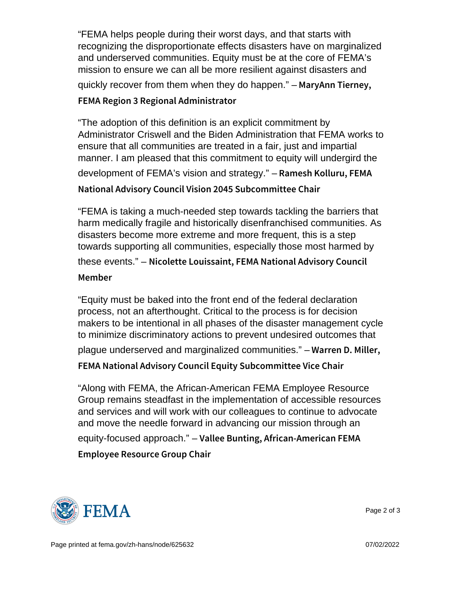"FEMA helps people during their worst days, and that starts with recognizing the disproportionate effects disasters have on marginalized and underserved communities. Equity must be at the core of FEMA's mission to ensure we can all be more resilient against disasters and quickly recover from them when they do happen."  $-$  M a r y A n n T i e r n e y, FEMA Region 3 Regional Administrator

```
"The adoption of this definition is an explicit commitment by
Administrator Criswell and the Biden Administration that FEMA works to
ensure that all communities are treated in a fair, just and impartial
manner. I am pleased that this commitment to equity will undergird the
development of FEMA's vision and strategy." – Ramesh Kolluru, FEMA
National Advisory Council Vision 2045 Subcommittee Ch
```
"FEMA is taking a much-needed step towards tackling the barriers that harm medically fragile and historically disenfranchised communities. As disasters become more extreme and more frequent, this is a step towards supporting all communities, especially those most harmed by these events." - Nicolette Louissaint, FEMA National Advisory Member

"Equity must be baked into the front end of the federal declaration process, not an afterthought. Critical to the process is for decision makers to be intentional in all phases of the disaster management cycle to minimize discriminatory actions to prevent undesired outcomes that

plague underserved and marginalized communities."  $-$  W a r r e n  $-$  D. Miller,

```
FEMA National Advisory Council Equity Subcommittee V
```
"Along with FEMA, the African-American FEMA Employee Resource Group remains steadfast in the implementation of accessible resources and services and will work with our colleagues to continue to advocate and move the needle forward in advancing our mission through an equity-focused approach." – Vallee Bunting, African-American FEMA Employee Resource Group Chair



Page 2 of 3

Page printed at [fema.gov/zh-hans/node/625632](https://www.fema.gov/zh-hans/node/625632) 07/02/2022